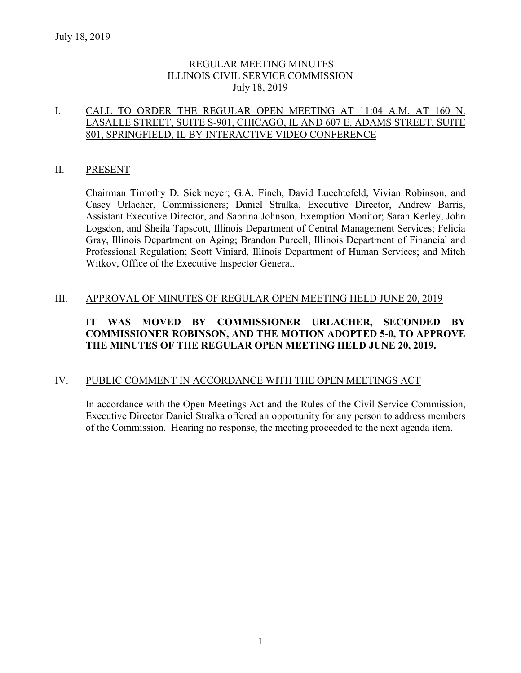## REGULAR MEETING MINUTES ILLINOIS CIVIL SERVICE COMMISSION July 18, 2019

### I. CALL TO ORDER THE REGULAR OPEN MEETING AT 11:04 A.M. AT 160 N. LASALLE STREET, SUITE S-901, CHICAGO, IL AND 607 E. ADAMS STREET, SUITE 801, SPRINGFIELD, IL BY INTERACTIVE VIDEO CONFERENCE

### II. PRESENT

Chairman Timothy D. Sickmeyer; G.A. Finch, David Luechtefeld, Vivian Robinson, and Casey Urlacher, Commissioners; Daniel Stralka, Executive Director, Andrew Barris, Assistant Executive Director, and Sabrina Johnson, Exemption Monitor; Sarah Kerley, John Logsdon, and Sheila Tapscott, Illinois Department of Central Management Services; Felicia Gray, Illinois Department on Aging; Brandon Purcell, Illinois Department of Financial and Professional Regulation; Scott Viniard, Illinois Department of Human Services; and Mitch Witkov, Office of the Executive Inspector General.

### III. APPROVAL OF MINUTES OF REGULAR OPEN MEETING HELD JUNE 20, 2019

## **IT WAS MOVED BY COMMISSIONER URLACHER, SECONDED BY COMMISSIONER ROBINSON, AND THE MOTION ADOPTED 5-0, TO APPROVE THE MINUTES OF THE REGULAR OPEN MEETING HELD JUNE 20, 2019.**

## IV. PUBLIC COMMENT IN ACCORDANCE WITH THE OPEN MEETINGS ACT

In accordance with the Open Meetings Act and the Rules of the Civil Service Commission, Executive Director Daniel Stralka offered an opportunity for any person to address members of the Commission. Hearing no response, the meeting proceeded to the next agenda item.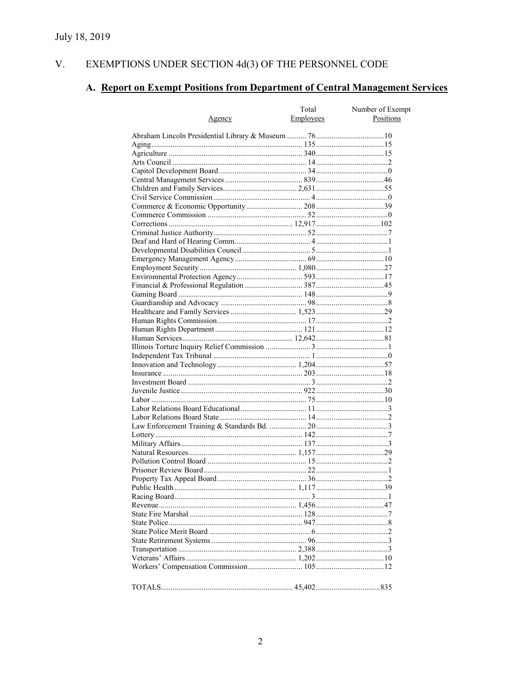#### V. EXEMPTIONS UNDER SECTION  $4d(3)$  OF THE PERSONNEL CODE

# A. Report on Exempt Positions from Department of Central Management Services

| Agency | Total<br><b>Employees</b> | Number of Exempt<br>Positions |
|--------|---------------------------|-------------------------------|
|        |                           |                               |
|        |                           |                               |
|        |                           |                               |
|        |                           |                               |
|        |                           |                               |
|        |                           |                               |
|        |                           |                               |
|        |                           |                               |
|        |                           |                               |
|        |                           |                               |
|        |                           |                               |
|        |                           |                               |
|        |                           |                               |
|        |                           |                               |
|        |                           |                               |
|        |                           |                               |
|        |                           |                               |
|        |                           |                               |
|        |                           |                               |
|        |                           |                               |
|        |                           |                               |
|        |                           |                               |
|        |                           |                               |
|        |                           |                               |
|        |                           |                               |
|        |                           |                               |
|        |                           |                               |
|        |                           |                               |
|        |                           |                               |
|        |                           |                               |
|        |                           |                               |
|        |                           |                               |
|        |                           |                               |
|        |                           |                               |
|        |                           |                               |
|        |                           |                               |
|        |                           |                               |
|        |                           |                               |
|        |                           |                               |
|        |                           |                               |
|        |                           |                               |
|        |                           |                               |
|        |                           |                               |
|        |                           |                               |
|        |                           |                               |
|        |                           |                               |
|        |                           |                               |
|        |                           |                               |
|        |                           |                               |
|        |                           |                               |
|        |                           |                               |
|        |                           |                               |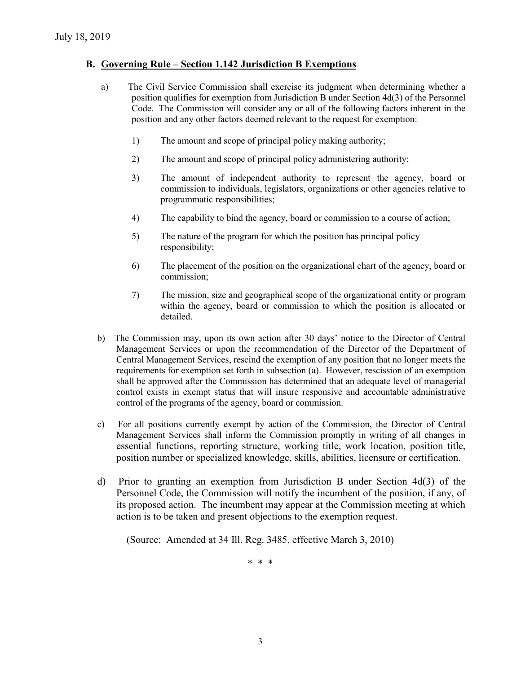### **B. Governing Rule – Section 1.142 Jurisdiction B Exemptions**

- a) The Civil Service Commission shall exercise its judgment when determining whether a position qualifies for exemption from Jurisdiction B under Section 4d(3) of the Personnel Code. The Commission will consider any or all of the following factors inherent in the position and any other factors deemed relevant to the request for exemption:
	- 1) The amount and scope of principal policy making authority;
	- 2) The amount and scope of principal policy administering authority;
	- 3) The amount of independent authority to represent the agency, board or commission to individuals, legislators, organizations or other agencies relative to programmatic responsibilities;
	- 4) The capability to bind the agency, board or commission to a course of action;
	- 5) The nature of the program for which the position has principal policy responsibility;
	- 6) The placement of the position on the organizational chart of the agency, board or commission;
	- 7) The mission, size and geographical scope of the organizational entity or program within the agency, board or commission to which the position is allocated or detailed.
- b) The Commission may, upon its own action after 30 days' notice to the Director of Central Management Services or upon the recommendation of the Director of the Department of Central Management Services, rescind the exemption of any position that no longer meets the requirements for exemption set forth in subsection (a). However, rescission of an exemption shall be approved after the Commission has determined that an adequate level of managerial control exists in exempt status that will insure responsive and accountable administrative control of the programs of the agency, board or commission.
- c) For all positions currently exempt by action of the Commission, the Director of Central Management Services shall inform the Commission promptly in writing of all changes in essential functions, reporting structure, working title, work location, position title, position number or specialized knowledge, skills, abilities, licensure or certification.
- d) Prior to granting an exemption from Jurisdiction B under Section 4d(3) of the Personnel Code, the Commission will notify the incumbent of the position, if any, of its proposed action. The incumbent may appear at the Commission meeting at which action is to be taken and present objections to the exemption request.

(Source: Amended at 34 Ill. Reg. 3485, effective March 3, 2010)

\* \* \*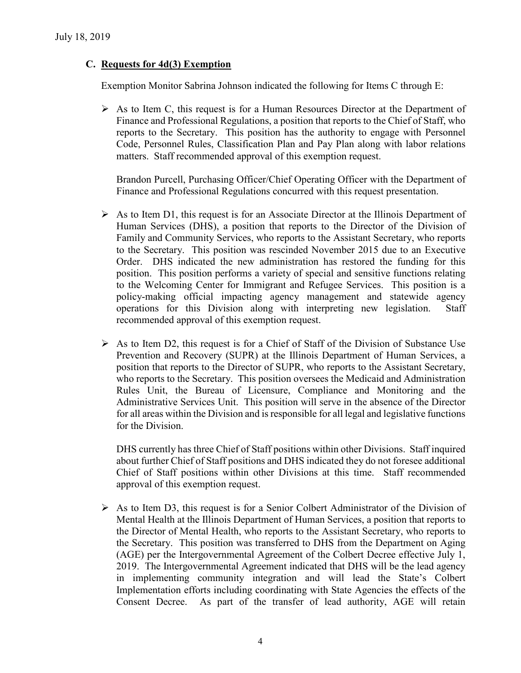## **C. Requests for 4d(3) Exemption**

Exemption Monitor Sabrina Johnson indicated the following for Items C through E:

 $\triangleright$  As to Item C, this request is for a Human Resources Director at the Department of Finance and Professional Regulations, a position that reports to the Chief of Staff, who reports to the Secretary. This position has the authority to engage with Personnel Code, Personnel Rules, Classification Plan and Pay Plan along with labor relations matters. Staff recommended approval of this exemption request.

Brandon Purcell, Purchasing Officer/Chief Operating Officer with the Department of Finance and Professional Regulations concurred with this request presentation.

- $\triangleright$  As to Item D1, this request is for an Associate Director at the Illinois Department of Human Services (DHS), a position that reports to the Director of the Division of Family and Community Services, who reports to the Assistant Secretary, who reports to the Secretary. This position was rescinded November 2015 due to an Executive Order. DHS indicated the new administration has restored the funding for this position. This position performs a variety of special and sensitive functions relating to the Welcoming Center for Immigrant and Refugee Services. This position is a policy-making official impacting agency management and statewide agency operations for this Division along with interpreting new legislation. Staff recommended approval of this exemption request.
- $\triangleright$  As to Item D2, this request is for a Chief of Staff of the Division of Substance Use Prevention and Recovery (SUPR) at the Illinois Department of Human Services, a position that reports to the Director of SUPR, who reports to the Assistant Secretary, who reports to the Secretary. This position oversees the Medicaid and Administration Rules Unit, the Bureau of Licensure, Compliance and Monitoring and the Administrative Services Unit. This position will serve in the absence of the Director for all areas within the Division and is responsible for all legal and legislative functions for the Division.

DHS currently has three Chief of Staff positions within other Divisions. Staff inquired about further Chief of Staff positions and DHS indicated they do not foresee additional Chief of Staff positions within other Divisions at this time. Staff recommended approval of this exemption request.

 $\triangleright$  As to Item D3, this request is for a Senior Colbert Administrator of the Division of Mental Health at the Illinois Department of Human Services, a position that reports to the Director of Mental Health, who reports to the Assistant Secretary, who reports to the Secretary. This position was transferred to DHS from the Department on Aging (AGE) per the Intergovernmental Agreement of the Colbert Decree effective July 1, 2019. The Intergovernmental Agreement indicated that DHS will be the lead agency in implementing community integration and will lead the State's Colbert Implementation efforts including coordinating with State Agencies the effects of the Consent Decree. As part of the transfer of lead authority, AGE will retain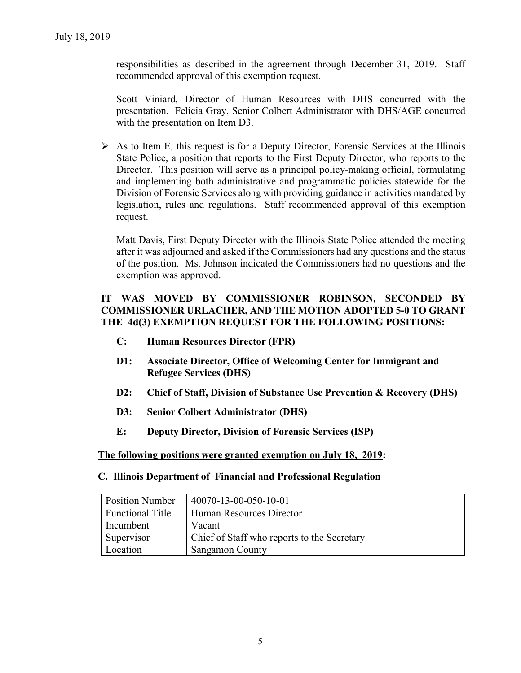responsibilities as described in the agreement through December 31, 2019. Staff recommended approval of this exemption request.

Scott Viniard, Director of Human Resources with DHS concurred with the presentation. Felicia Gray, Senior Colbert Administrator with DHS/AGE concurred with the presentation on Item D3.

 $\triangleright$  As to Item E, this request is for a Deputy Director, Forensic Services at the Illinois State Police, a position that reports to the First Deputy Director, who reports to the Director. This position will serve as a principal policy-making official, formulating and implementing both administrative and programmatic policies statewide for the Division of Forensic Services along with providing guidance in activities mandated by legislation, rules and regulations. Staff recommended approval of this exemption request.

Matt Davis, First Deputy Director with the Illinois State Police attended the meeting after it was adjourned and asked if the Commissioners had any questions and the status of the position. Ms. Johnson indicated the Commissioners had no questions and the exemption was approved.

## **IT WAS MOVED BY COMMISSIONER ROBINSON, SECONDED BY COMMISSIONER URLACHER, AND THE MOTION ADOPTED 5-0 TO GRANT THE 4d(3) EXEMPTION REQUEST FOR THE FOLLOWING POSITIONS:**

- **C: Human Resources Director (FPR)**
- **D1: Associate Director, Office of Welcoming Center for Immigrant and Refugee Services (DHS)**
- **D2: Chief of Staff, Division of Substance Use Prevention & Recovery (DHS)**
- **D3: Senior Colbert Administrator (DHS)**
- **E: Deputy Director, Division of Forensic Services (ISP)**

### **The following positions were granted exemption on July 18, 2019:**

### **C. Illinois Department of Financial and Professional Regulation**

| <b>Position Number</b>  | 40070-13-00-050-10-01                       |
|-------------------------|---------------------------------------------|
| <b>Functional Title</b> | Human Resources Director                    |
| Incumbent               | Vacant                                      |
| Supervisor              | Chief of Staff who reports to the Secretary |
| Location                | Sangamon County                             |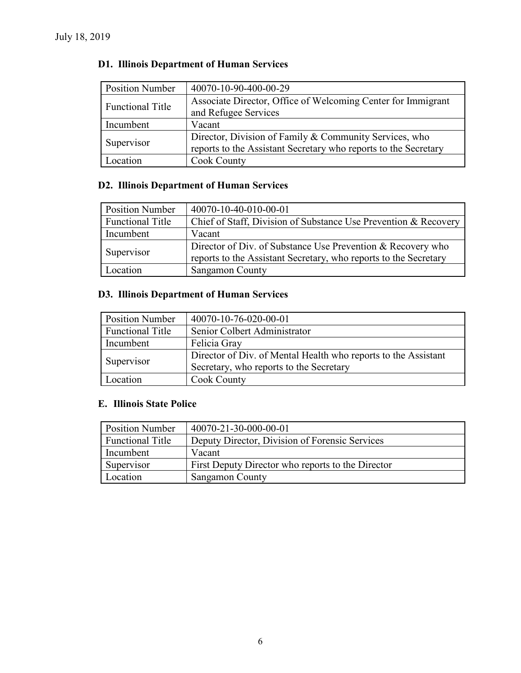| <b>Position Number</b>  | 40070-10-90-400-00-29                                           |
|-------------------------|-----------------------------------------------------------------|
| <b>Functional Title</b> | Associate Director, Office of Welcoming Center for Immigrant    |
|                         | and Refugee Services                                            |
| Incumbent               | Vacant                                                          |
|                         | Director, Division of Family & Community Services, who          |
| Supervisor              | reports to the Assistant Secretary who reports to the Secretary |
| Location                | <b>Cook County</b>                                              |

# **D1. Illinois Department of Human Services**

# **D2. Illinois Department of Human Services**

| <b>Position Number</b>  | 40070-10-40-010-00-01                                                                                                           |
|-------------------------|---------------------------------------------------------------------------------------------------------------------------------|
| <b>Functional Title</b> | Chief of Staff, Division of Substance Use Prevention & Recovery                                                                 |
| Incumbent               | Vacant                                                                                                                          |
| Supervisor              | Director of Div. of Substance Use Prevention & Recovery who<br>reports to the Assistant Secretary, who reports to the Secretary |
| Location                | <b>Sangamon County</b>                                                                                                          |

# **D3. Illinois Department of Human Services**

| <b>Position Number</b>  | 40070-10-76-020-00-01                                          |  |
|-------------------------|----------------------------------------------------------------|--|
| <b>Functional Title</b> | Senior Colbert Administrator                                   |  |
| Incumbent               | Felicia Gray                                                   |  |
|                         | Director of Div. of Mental Health who reports to the Assistant |  |
| Supervisor              | Secretary, who reports to the Secretary                        |  |
| Location                | <b>Cook County</b>                                             |  |

# **E. Illinois State Police**

| <b>Position Number</b>  | 40070-21-30-000-00-01                             |
|-------------------------|---------------------------------------------------|
| <b>Functional Title</b> | Deputy Director, Division of Forensic Services    |
| Incumbent               | Vacant                                            |
| Supervisor              | First Deputy Director who reports to the Director |
| Location                | <b>Sangamon County</b>                            |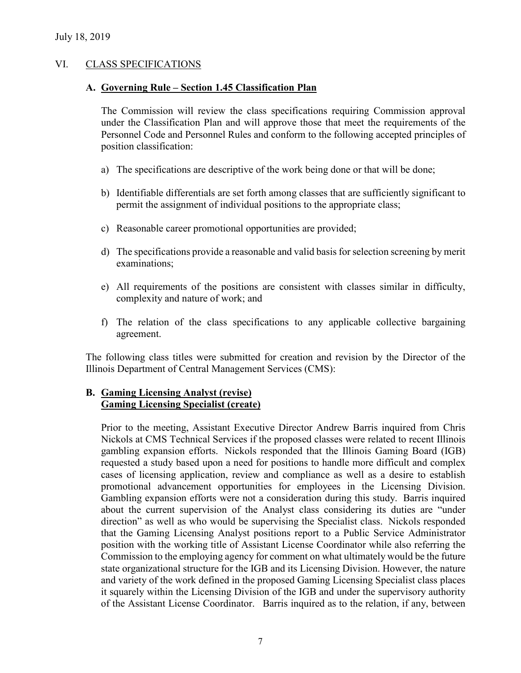### VI. CLASS SPECIFICATIONS

### **A. Governing Rule – Section 1.45 Classification Plan**

The Commission will review the class specifications requiring Commission approval under the Classification Plan and will approve those that meet the requirements of the Personnel Code and Personnel Rules and conform to the following accepted principles of position classification:

- a) The specifications are descriptive of the work being done or that will be done;
- b) Identifiable differentials are set forth among classes that are sufficiently significant to permit the assignment of individual positions to the appropriate class;
- c) Reasonable career promotional opportunities are provided;
- d) The specifications provide a reasonable and valid basis for selection screening by merit examinations;
- e) All requirements of the positions are consistent with classes similar in difficulty, complexity and nature of work; and
- f) The relation of the class specifications to any applicable collective bargaining agreement.

The following class titles were submitted for creation and revision by the Director of the Illinois Department of Central Management Services (CMS):

### **B. Gaming Licensing Analyst (revise) Gaming Licensing Specialist (create)**

Prior to the meeting, Assistant Executive Director Andrew Barris inquired from Chris Nickols at CMS Technical Services if the proposed classes were related to recent Illinois gambling expansion efforts. Nickols responded that the Illinois Gaming Board (IGB) requested a study based upon a need for positions to handle more difficult and complex cases of licensing application, review and compliance as well as a desire to establish promotional advancement opportunities for employees in the Licensing Division. Gambling expansion efforts were not a consideration during this study. Barris inquired about the current supervision of the Analyst class considering its duties are "under direction" as well as who would be supervising the Specialist class. Nickols responded that the Gaming Licensing Analyst positions report to a Public Service Administrator position with the working title of Assistant License Coordinator while also referring the Commission to the employing agency for comment on what ultimately would be the future state organizational structure for the IGB and its Licensing Division. However, the nature and variety of the work defined in the proposed Gaming Licensing Specialist class places it squarely within the Licensing Division of the IGB and under the supervisory authority of the Assistant License Coordinator. Barris inquired as to the relation, if any, between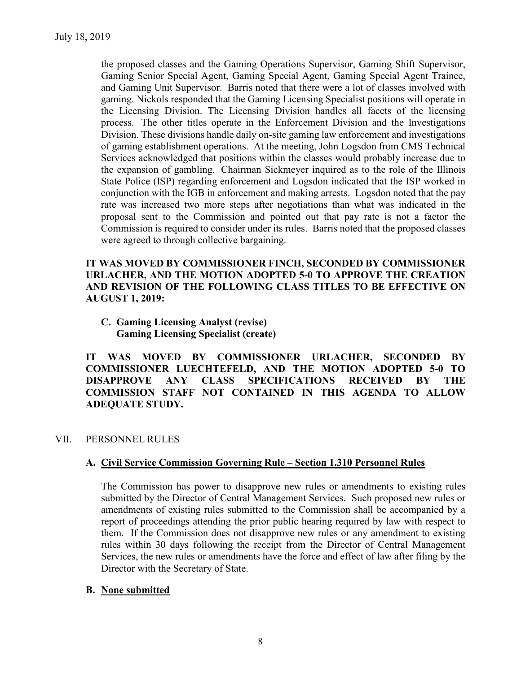the proposed classes and the Gaming Operations Supervisor, Gaming Shift Supervisor, Gaming Senior Special Agent, Gaming Special Agent, Gaming Special Agent Trainee, and Gaming Unit Supervisor. Barris noted that there were a lot of classes involved with gaming. Nickols responded that the Gaming Licensing Specialist positions will operate in the Licensing Division. The Licensing Division handles all facets of the licensing process. The other titles operate in the Enforcement Division and the Investigations Division. These divisions handle daily on-site gaming law enforcement and investigations of gaming establishment operations. At the meeting, John Logsdon from CMS Technical Services acknowledged that positions within the classes would probably increase due to the expansion of gambling. Chairman Sickmeyer inquired as to the role of the Illinois State Police (ISP) regarding enforcement and Logsdon indicated that the ISP worked in conjunction with the IGB in enforcement and making arrests. Logsdon noted that the pay rate was increased two more steps after negotiations than what was indicated in the proposal sent to the Commission and pointed out that pay rate is not a factor the Commission is required to consider under its rules. Barris noted that the proposed classes were agreed to through collective bargaining.

### **IT WAS MOVED BY COMMISSIONER FINCH, SECONDED BY COMMISSIONER URLACHER, AND THE MOTION ADOPTED 5-0 TO APPROVE THE CREATION AND REVISION OF THE FOLLOWING CLASS TITLES TO BE EFFECTIVE ON AUGUST 1, 2019:**

**C. Gaming Licensing Analyst (revise) Gaming Licensing Specialist (create)**

**IT WAS MOVED BY COMMISSIONER URLACHER, SECONDED BY COMMISSIONER LUECHTEFELD, AND THE MOTION ADOPTED 5-0 TO DISAPPROVE ANY CLASS SPECIFICATIONS RECEIVED BY THE COMMISSION STAFF NOT CONTAINED IN THIS AGENDA TO ALLOW ADEQUATE STUDY.** 

## VII. PERSONNEL RULES

### **A. Civil Service Commission Governing Rule – Section 1.310 Personnel Rules**

The Commission has power to disapprove new rules or amendments to existing rules submitted by the Director of Central Management Services. Such proposed new rules or amendments of existing rules submitted to the Commission shall be accompanied by a report of proceedings attending the prior public hearing required by law with respect to them. If the Commission does not disapprove new rules or any amendment to existing rules within 30 days following the receipt from the Director of Central Management Services, the new rules or amendments have the force and effect of law after filing by the Director with the Secretary of State.

### **B. None submitted**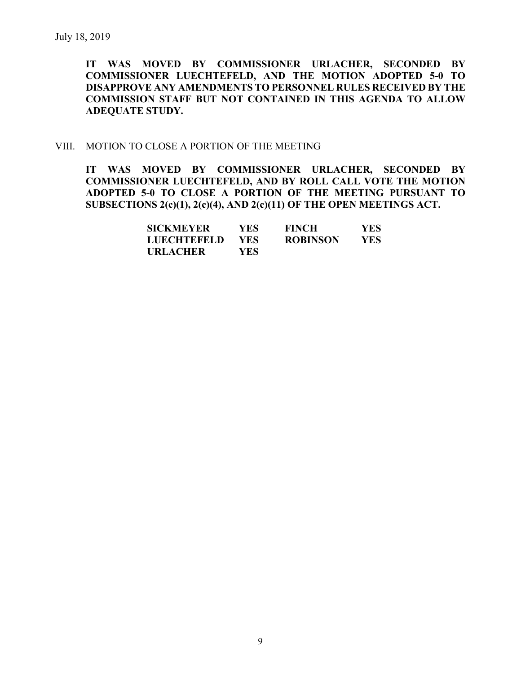**IT WAS MOVED BY COMMISSIONER URLACHER, SECONDED BY COMMISSIONER LUECHTEFELD, AND THE MOTION ADOPTED 5-0 TO DISAPPROVE ANY AMENDMENTS TO PERSONNEL RULES RECEIVED BY THE COMMISSION STAFF BUT NOT CONTAINED IN THIS AGENDA TO ALLOW ADEQUATE STUDY.** 

#### VIII. MOTION TO CLOSE A PORTION OF THE MEETING

**IT WAS MOVED BY COMMISSIONER URLACHER, SECONDED BY COMMISSIONER LUECHTEFELD, AND BY ROLL CALL VOTE THE MOTION ADOPTED 5-0 TO CLOSE A PORTION OF THE MEETING PURSUANT TO SUBSECTIONS 2(c)(1), 2(c)(4), AND 2(c)(11) OF THE OPEN MEETINGS ACT.**

| <b>SICKMEYER</b>   | YES  | <b>FINCH</b>    | YES |
|--------------------|------|-----------------|-----|
| <b>LUECHTEFELD</b> | YES. | <b>ROBINSON</b> | YES |
| <b>URLACHER</b>    | YES. |                 |     |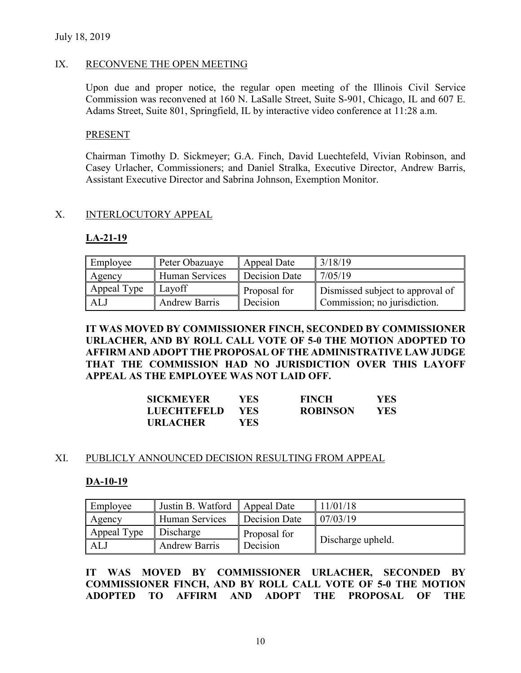#### July 18, 2019

#### IX. RECONVENE THE OPEN MEETING

Upon due and proper notice, the regular open meeting of the Illinois Civil Service Commission was reconvened at 160 N. LaSalle Street, Suite S-901, Chicago, IL and 607 E. Adams Street, Suite 801, Springfield, IL by interactive video conference at 11:28 a.m.

#### PRESENT

Chairman Timothy D. Sickmeyer; G.A. Finch, David Luechtefeld, Vivian Robinson, and Casey Urlacher, Commissioners; and Daniel Stralka, Executive Director, Andrew Barris, Assistant Executive Director and Sabrina Johnson, Exemption Monitor.

#### X. INTERLOCUTORY APPEAL

#### **LA-21-19**

| Employee    | Peter Obazuaye       | <b>Appeal Date</b> | 3/18/19                          |
|-------------|----------------------|--------------------|----------------------------------|
| Agency      | Human Services       | Decision Date      | 7/05/19                          |
| Appeal Type | Layoff               | Proposal for       | Dismissed subject to approval of |
| AL J        | <b>Andrew Barris</b> | Decision           | Commission; no jurisdiction.     |

### **IT WAS MOVED BY COMMISSIONER FINCH, SECONDED BY COMMISSIONER URLACHER, AND BY ROLL CALL VOTE OF 5-0 THE MOTION ADOPTED TO AFFIRM AND ADOPT THE PROPOSAL OF THE ADMINISTRATIVE LAW JUDGE THAT THE COMMISSION HAD NO JURISDICTION OVER THIS LAYOFF APPEAL AS THE EMPLOYEE WAS NOT LAID OFF.**

| <b>SICKMEYER</b>   | YES- | <b>FINCH</b>    | <b>YES</b> |
|--------------------|------|-----------------|------------|
| <b>LUECHTEFELD</b> | YES. | <b>ROBINSON</b> | YES        |
| <b>URLACHER</b>    | YES. |                 |            |

### XI. PUBLICLY ANNOUNCED DECISION RESULTING FROM APPEAL

#### **DA-10-19**

| Employee    | Justin B. Watford    | Appeal Date   | 11/01/18          |
|-------------|----------------------|---------------|-------------------|
| Agency      | Human Services       | Decision Date | 07/03/19          |
| Appeal Type | Discharge            | Proposal for  |                   |
| ALJ         | <b>Andrew Barris</b> | Decision      | Discharge upheld. |

**IT WAS MOVED BY COMMISSIONER URLACHER, SECONDED BY COMMISSIONER FINCH, AND BY ROLL CALL VOTE OF 5-0 THE MOTION ADOPTED TO AFFIRM AND ADOPT THE PROPOSAL OF THE**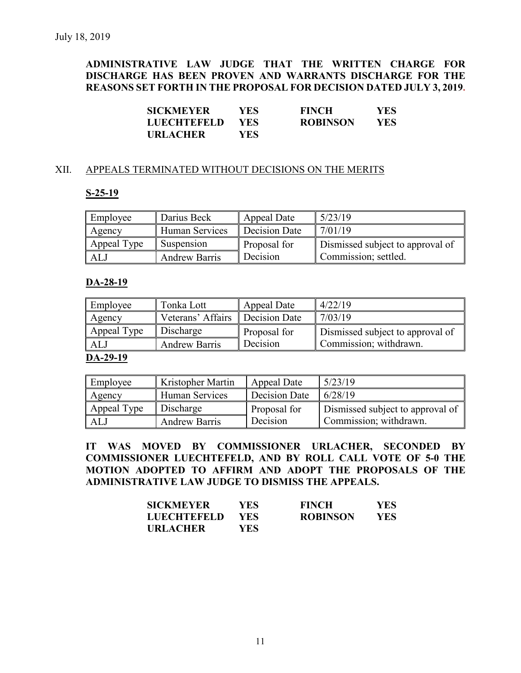## **ADMINISTRATIVE LAW JUDGE THAT THE WRITTEN CHARGE FOR DISCHARGE HAS BEEN PROVEN AND WARRANTS DISCHARGE FOR THE REASONS SET FORTH IN THE PROPOSAL FOR DECISION DATED JULY 3, 2019.**

| <b>SICKMEYER</b> | YES. | <b>FINCH</b>    | YES |
|------------------|------|-----------------|-----|
| LUECHTEFELD      | YES. | <b>ROBINSON</b> | YES |
| URLACHER         | YES. |                 |     |

#### XII. APPEALS TERMINATED WITHOUT DECISIONS ON THE MERITS

#### **S-25-19**

| Employee    | Darius Beck           | Appeal Date   | 5/23/19                          |
|-------------|-----------------------|---------------|----------------------------------|
| Agency      | <b>Human Services</b> | Decision Date | 7/01/19                          |
| Appeal Type | Suspension            | Proposal for  | Dismissed subject to approval of |
| ALJ         | <b>Andrew Barris</b>  | Decision      | Commission; settled.             |

### **DA-28-19**

| Employee    | Tonka Lott           | Appeal Date   | 4/22/19                          |
|-------------|----------------------|---------------|----------------------------------|
| Agency      | Veterans' Affairs    | Decision Date | 7/03/19                          |
| Appeal Type | Discharge            | Proposal for  | Dismissed subject to approval of |
| ALJ         | <b>Andrew Barris</b> | Decision      | Commission; withdrawn.           |

#### **DA-29-19**

| Employee    | <b>Kristopher Martin</b> | Appeal Date   | 5/23/19                          |
|-------------|--------------------------|---------------|----------------------------------|
| Agency      | Human Services           | Decision Date | 6/28/19                          |
| Appeal Type | Discharge                | Proposal for  | Dismissed subject to approval of |
| ALJ         | <b>Andrew Barris</b>     | Decision      | Commission; withdrawn.           |

**IT WAS MOVED BY COMMISSIONER URLACHER, SECONDED BY COMMISSIONER LUECHTEFELD, AND BY ROLL CALL VOTE OF 5-0 THE MOTION ADOPTED TO AFFIRM AND ADOPT THE PROPOSALS OF THE ADMINISTRATIVE LAW JUDGE TO DISMISS THE APPEALS.**

| SICKMEYER   | YES-       | <b>FINCH</b>    | <b>YES</b> |
|-------------|------------|-----------------|------------|
| LUECHTEFELD | <b>YES</b> | <b>ROBINSON</b> | YES        |
| URLACHER    | YES        |                 |            |